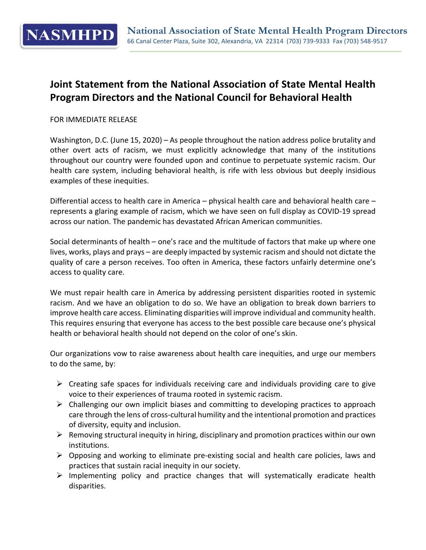

## **Joint Statement from the National Association of State Mental Health Program Directors and the National Council for Behavioral Health**

## FOR IMMEDIATE RELEASE

Washington, D.C. (June 15, 2020) – As people throughout the nation address police brutality and other overt acts of racism, we must explicitly acknowledge that many of the institutions throughout our country were founded upon and continue to perpetuate systemic racism. Our health care system, including behavioral health, is rife with less obvious but deeply insidious examples of these inequities.

Differential access to health care in America – physical health care and behavioral health care – represents a glaring example of racism, which we have seen on full display as COVID-19 spread across our nation. The pandemic has devastated African American communities.

Social determinants of health – one's race and the multitude of factors that make up where one lives, works, plays and prays – are deeply impacted by systemic racism and should not dictate the quality of care a person receives. Too often in America, these factors unfairly determine one's access to quality care.

We must repair health care in America by addressing persistent disparities rooted in systemic racism. And we have an obligation to do so. We have an obligation to break down barriers to improve health care access. Eliminating disparities will improve individual and community health. This requires ensuring that everyone has access to the best possible care because one's physical health or behavioral health should not depend on the color of one's skin.

Our organizations vow to raise awareness about health care inequities, and urge our members to do the same, by:

- $\triangleright$  Creating safe spaces for individuals receiving care and individuals providing care to give voice to their experiences of trauma rooted in systemic racism.
- $\triangleright$  Challenging our own implicit biases and committing to developing practices to approach care through the lens of cross-cultural humility and the intentional promotion and practices of diversity, equity and inclusion.
- $\triangleright$  Removing structural inequity in hiring, disciplinary and promotion practices within our own institutions.
- $\triangleright$  Opposing and working to eliminate pre-existing social and health care policies, laws and practices that sustain racial inequity in our society.
- $\triangleright$  Implementing policy and practice changes that will systematically eradicate health disparities.